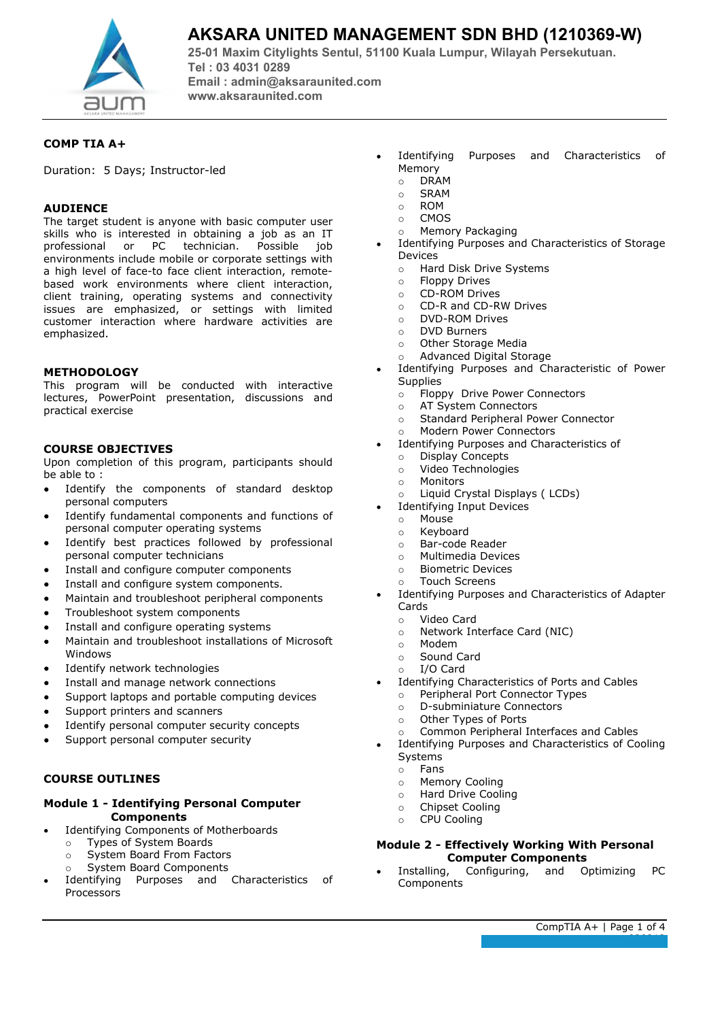

# **AKSARA UNITED MANAGEMENT SDN BHD (1210369-W)**

**25-01 Maxim Citylights Sentul, 51100 Kuala Lumpur, Wilayah Persekutuan. Tel : 03 4031 0289 Email : admin@aksaraunited.com www.aksaraunited.com**

# **COMP TIA A+**

Duration: 5 Days; Instructor-led

## **AUDIENCE**

The target student is anyone with basic computer user skills who is interested in obtaining a job as an IT<br>professional or PC technician. Possible iob professional or PC technician. Possible environments include mobile or corporate settings with a high level of face-to face client interaction, remotebased work environments where client interaction, client training, operating systems and connectivity issues are emphasized, or settings with limited customer interaction where hardware activities are emphasized.

# **METHODOLOGY**

This program will be conducted with interactive lectures, PowerPoint presentation, discussions and practical exercise

# **COURSE OBJECTIVES**

Upon completion of this program, participants should be able to :

- Identify the components of standard desktop personal computers
- Identify fundamental components and functions of personal computer operating systems
- Identify best practices followed by professional personal computer technicians
- Install and configure computer components
- Install and configure system components.
- Maintain and troubleshoot peripheral components
- Troubleshoot system components
- Install and configure operating systems
- Maintain and troubleshoot installations of Microsoft Windows
- Identify network technologies
- Install and manage network connections
- Support laptops and portable computing devices
- Support printers and scanners
- Identify personal computer security concepts
- Support personal computer security

# **COURSE OUTLINES**

### **Module 1 - Identifying Personal Computer Components**

- Identifying Components of Motherboards
	- o Types of System Boards
	- o System Board From Factors
	- System Board Components
- Identifying Purposes and Characteristics of Processors
- Identifying Purposes and Characteristics of Memory
	- o DRAM<br>o SRAM
	- $\circ$  SRAM<br> $\circ$  ROM
	- **ROM**
	- o CMOS<br>o Memor
- Memory Packaging Identifying Purposes and Characteristics of Storage
- Devices
	- o Hard Disk Drive Systems
	- o Floppy Drives
	- $\circ$  CD-ROM Drives<br> $\circ$  CD-R and CD-R
	- CD-R and CD-RW Drives
	- o DVD-ROM Drives
	- o DVD Burners
	- o Other Storage Media<br>
	o Advanced Digital Sto
	- Advanced Digital Storage
- Identifying Purposes and Characteristic of Power **Supplies** 
	- Floppy Drive Power Connectors<br>○ AT System Connectors
	- o AT System Connectors<br>
	o Standard Peripheral Po
	- Standard Peripheral Power Connector
	- o Modern Power Connectors
- Identifying Purposes and Characteristics of
	- o Display Concepts<br>
	o Video Technologie
	- o Video Technologies<br>
	o Monitors
	- Monitors
	- o Liquid Crystal Displays ( LCDs)
	- Identifying Input Devices
	- o Mouse
	- o Keyboard<br>o Bar-code
	- Bar-code Reader
	- o Multimedia Devices
	- o Biometric Devices o Touch Screens
	-
- Identifying Purposes and Characteristics of Adapter Cards
	-
	- o Video Card<br>
	o Network In o Network Interface Card (NIC)<br>o Modem
	-
	- o Modem<br>o Sound Sound Card
	- o I/O Card
- Identifying Characteristics of Ports and Cables
	- Peripheral Port Connector Types<br>○ D-subminiature Connectors
	- D-subminiature Connectors
	- o Other Types of Ports
	- o Common Peripheral Interfaces and Cables
- Identifying Purposes and Characteristics of Cooling
	- Systems o Fans
	-
	- o Memory Cooling
	- o Hard Drive Cooling
	- o Chipset Cooling<br>
	o CPU Cooling **CPU Cooling**
	-

#### **Module 2 - Effectively Working With Personal Computer Components**

Installing, Configuring, and Optimizing PC Components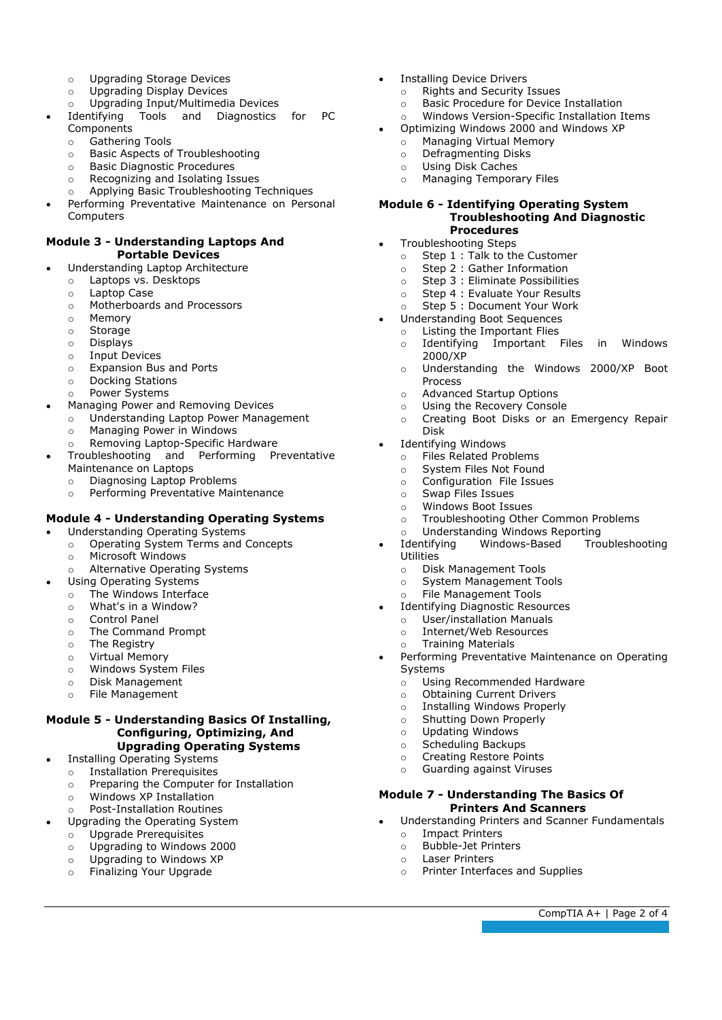- o Upgrading Storage Devices<br>
o Upgrading Display Devices
- o Upgrading Display Devices<br>
O Upgrading Input/Multimedia
- $\circ$  Upgrading Input/Multimedia Devices<br>Identifying Tools and Diagnostics
- Tools and Diagnostics for PC Components
	- o Gathering Tools<br>o Basic Aspects of
	- $\circ$  Basic Aspects of Troubleshooting<br>  $\circ$  Basic Diagnostic Procedures
	- $\circ$  Basic Diagnostic Procedures<br> $\circ$  Recognizing and Isolating Is
	- Recognizing and Isolating Issues
- o Applying Basic Troubleshooting Techniques Performing Preventative Maintenance on Personal Computers

# **Module 3 - Understanding Laptops And Portable Devices**

- Understanding Laptop Architecture
	- o Laptops vs. Desktops
	- Laptop Case<br>○ Motherboard
	- o Motherboards and Processors<br>
	o Memory
	- Memory
	- o Storage
	- o Displays
	- o Input Devices
	- $\circ$  Expansion Bus and Ports
	- Docking Stations
	- o Power Systems
- Managing Power and Removing Devices
	- o Understanding Laptop Power Management<br>
	o Managing Power in Windows
		- o Managing Power in Windows<br> **Q. Removing Lanton-Specific Hamps**
		- Removing Laptop-Specific Hardware
- Troubleshooting and Performing Preventative Maintenance on Laptops
	- o Diagnosing Laptop Problems<br> **O Performing Preventative Mair**
	- Performing Preventative Maintenance

# **Module 4 - Understanding Operating Systems**

- Understanding Operating Systems
	- o Operating System Terms and Concepts
		- o Microsoft Windows
	- o Alternative Operating Systems
- Using Operating Systems
	- $\circ$  The Windows Interface<br> $\circ$  What's in a Window?
	- What's in a Window?
	- Control Panel<br>○ The Comman
	- $\circ$  The Command Prompt  $\circ$  The Registry
	- $\circ$  The Registry<br> $\circ$  Virtual Memo
	- o Virtual Memory<br>
	o Windows Syster
	- Windows System Files
	- o Disk Management
	- File Management

## **Module 5 - Understanding Basics Of Installing, Configuring, Optimizing, And Upgrading Operating Systems**

# Installing Operating Systems

- o Installation Prerequisites
- o Preparing the Computer for Installation
- o Windows XP Installation
- o Post-Installation Routines
- Upgrading the Operating System
	- o Upgrade Prerequisites
	- $\circ$  Upgrading to Windows 2000<br> $\circ$  Upgrading to Windows XP
	- Upgrading to Windows XP
	- o Finalizing Your Upgrade
- Installing Device Drivers
	- o Rights and Security Issues<br> **Basic Procedure for Device**
	- Basic Procedure for Device Installation<br>○ Windows Version-Specific Installation I
	- Windows Version-Specific Installation Items
- Optimizing Windows 2000 and Windows XP
	- $\circ$  Managing Virtual Memory<br>  $\circ$  Defragmenting Disks
	- o Defragmenting Disks<br>o Using Disk Caches
	- o Using Disk Caches<br>
	o Managing Tempora **Managing Temporary Files**

#### **Module 6 - Identifying Operating System Troubleshooting And Diagnostic Procedures**

- Troubleshooting Steps
	- $\circ$  Step 1 : Talk to the Customer<br> $\circ$  Step 2 : Gather Information
	- Step 2 : Gather Information
	- o Step 3 : Eliminate Possibilities
	- o Step 4 : Evaluate Your Results<br>
	o Step 5 : Document Your Work
	- Step 5 : Document Your Work
- Understanding Boot Sequences
	- o Listing the Important Flies o Identifying Important Files in Windows 2000/XP
	- o Understanding the Windows 2000/XP Boot Process
	- o Advanced Startup Options<br>
	o Using the Recovery Consol
	- $\circ$  Using the Recovery Console<br> $\circ$  Creating Boot Disks or an
	- Creating Boot Disks or an Emergency Repair Disk
- Identifying Windows
	- o Files Related Problems<br>
	o System Files Not Found
	- $\circ$  System Files Not Found<br> $\circ$  Configuration File Issue
	- Configuration File Issues
	- o Swap Files Issues
	- o Windows Boot Issues<br>
	o Troubleshooting Othe
	- Troubleshooting Other Common Problems
	-
	- o Understanding Windows Reporting<br>Identifying Windows-Based Troubleshooting Windows-Based
	- **Utilities**
	- o Disk Management Tools
	- o System Management Tools
	- File Management Tools Identifying Diagnostic Resources
- - o User/installation Manuals<br>
	o Internet/Web Resources Internet/Web Resources
	- o Training Materials

 $\bullet$ 

Performing Preventative Maintenance on Operating Systems

CompTIA A+ | Page 2 of 4

- 
- o Using Recommended Hardware<br>
o Obtaining Current Drivers
- o Obtaining Current Drivers<br>
o Installing Windows Proper
- $\circ$  Installing Windows Properly<br> $\circ$  Shutting Down Properly Shutting Down Properly
- 
- o Updating Windows<br>
o Scheduling Backup Scheduling Backups

o Impact Printers<br>
o Bubble-Jet Print ○ Bubble-Jet Printers<br>○ Laser Printers  $\circ$  Laser Printers

- 
- o Creating Restore Points<br> **O Guarding against Viruse** Guarding against Viruses

**Module 7 - Understanding The Basics Of Printers And Scanners** Understanding Printers and Scanner Fundamentals

Printer Interfaces and Supplies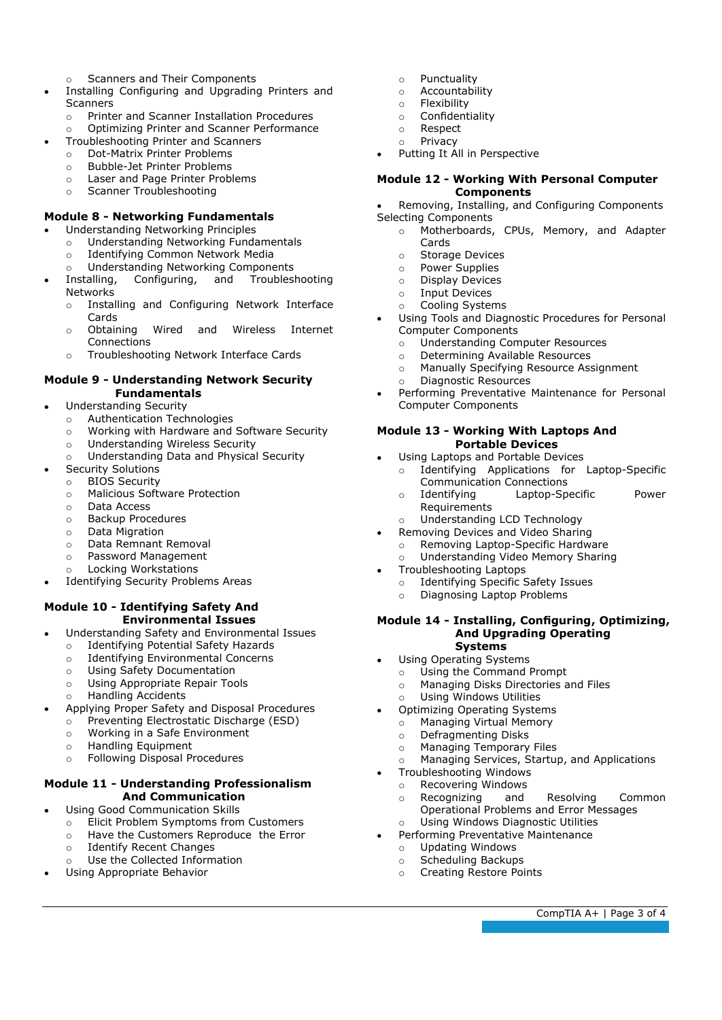- o Scanners and Their Components
- Installing Configuring and Upgrading Printers and Scanners
	- o Printer and Scanner Installation Procedures
	- o Optimizing Printer and Scanner Performance
	- Troubleshooting Printer and Scanners
		- o Dot-Matrix Printer Problems<br>
		o Bubble-Jet Printer Problems
		- Bubble-Jet Printer Problems<br>○ Laser and Page Printer Probl
		- Laser and Page Printer Problems
		- o Scanner Troubleshooting

# **Module 8 - Networking Fundamentals**

- Understanding Networking Principles
	- o Understanding Networking Fundamentals<br> **O Identifying Common Network Media**
	- Identifying Common Network Media
	- o Understanding Networking Components<br>Installing, Configuring, and Troubles
- Troubleshooting Networks
	- o Installing and Configuring Network Interface Cards
	- o Obtaining Wired and Wireless Internet Connections
	- o Troubleshooting Network Interface Cards

#### **Module 9 - Understanding Network Security Fundamentals**

- Understanding Security
	- o Authentication Technologies<br>
	o Working with Hardware and
	- Working with Hardware and Software Security
	- o Understanding Wireless Security
	- o Understanding Data and Physical Security
- Security Solutions
	- o BIOS Security
	- o Malicious Software Protection
	- o Data Access
	- o Backup Procedures
	- o Data Migration
	- o Data Remnant Removal
	- o Password Management
	- o Locking Workstations
- Identifying Security Problems Areas

#### **Module 10 - Identifying Safety And Environmental Issues**

- Understanding Safety and Environmental Issues
- o Identifying Potential Safety Hazards
- o Identifying Environmental Concerns
- o Using Safety Documentation<br>
o Using Appropriate Repair Too
- Using Appropriate Repair Tools
- o Handling Accidents
- Applying Proper Safety and Disposal Procedures
	- $\circ$  Preventing Electrostatic Discharge (ESD)<br>  $\circ$  Working in a Safe Environment
	- $\circ$  Working in a Safe Environment  $\circ$  Handling Equipment
	- Handling Equipment
	- o Following Disposal Procedures

## **Module 11 - Understanding Professionalism And Communication**

- Using Good Communication Skills
	- o Elicit Problem Symptoms from Customers
	- o Have the Customers Reproduce the Error
	- o Identify Recent Changes
	- o Use the Collected Information
- Using Appropriate Behavior
- o Punctuality<br>
o Accountabil
- $\circ$  Accountability<br> $\circ$  Elexibility
- $\circ$  Flexibility
- o Confidentiality<br> **O** Respect
- o Respect<br>o Privacy
- Privacy
- Putting It All in Perspective

#### **Module 12 - Working With Personal Computer Components**

Removing, Installing, and Configuring Components Selecting Components

- o Motherboards, CPUs, Memory, and Adapter Cards
	- ⊙ Storage Devices<br>○ Power Supplies
	- Power Supplies
	- o Display Devices
	- o Input Devices<br>
	o Cooling Syster
	- Cooling Systems
- Using Tools and Diagnostic Procedures for Personal Computer Components
	- o Understanding Computer Resources
	- o Determining Available Resources<br> **O Manually Specifying Resource Ass**
	- o Manually Specifying Resource Assignment<br>O Diagnostic Resources
	- Diagnostic Resources
- Performing Preventative Maintenance for Personal Computer Components

### **Module 13 - Working With Laptops And Portable Devices**

- Using Laptops and Portable Devices<br>  $\circ$  Identifying Applications for
- Identifying Applications for Laptop-Specific Communication Connections
- o Identifying Laptop-Specific Power **Requirements**
- Understanding LCD Technology
- Removing Devices and Video Sharing o Removing Laptop-Specific Hardware
	- o Understanding Video Memory Sharing
- Troubleshooting Laptops

 $\bullet$ 

- o Identifying Specific Safety Issues<br>
o Diagnosing Lanton Problems
- Diagnosing Laptop Problems

#### **Module 14 - Installing, Configuring, Optimizing, And Upgrading Operating Systems**

- Using Operating Systems
- - o Using the Command Prompt<br>
	o Managing Disks Directories a Managing Disks Directories and Files
	- o Using Windows Utilities
	- Optimizing Operating Systems
	- $\circ$  Managing Virtual Memory<br>  $\circ$  Defragmenting Disks
	- Defragmenting Disks<br>○ Managing Temporary
	- **Managing Temporary Files**
	- Managing Services, Startup, and Applications
- Troubleshooting Windows
	- o Recovering Windows<br>
	o Recognizing and
	- o Recognizing and Resolving Common Operational Problems and Error Messages

CompTIA A+ | Page 3 of 4

- o Using Windows Diagnostic Utilities Performing Preventative Maintenance
- - o Updating Windows<br>
	o Scheduling Backup Scheduling Backups

o Creating Restore Points